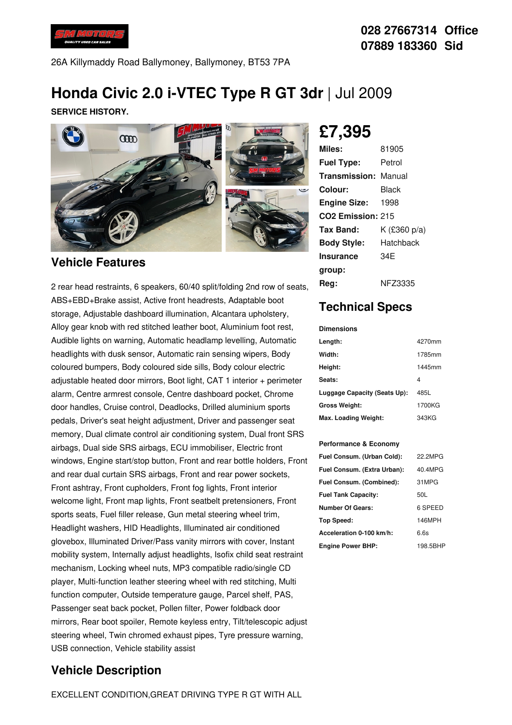

26A Killymaddy Road Ballymoney, Ballymoney, BT53 7PA

# **Honda Civic 2.0 i-VTEC Type R GT 3dr** |Jul 2009

**SERVICE HISTORY.**



### **Vehicle Features**

2 rear head restraints, 6 speakers, 60/40 split/folding 2nd row of seats, ABS+EBD+Brake assist, Active front headrests, Adaptable boot storage, Adjustable dashboard illumination, Alcantara upholstery, Alloy gear knob with red stitched leather boot, Aluminium foot rest, Audible lights on warning, Automatic headlamp levelling, Automatic headlights with dusk sensor, Automatic rain sensing wipers, Body coloured bumpers, Body coloured side sills, Body colour electric adjustable heated door mirrors, Boot light, CAT 1 interior + perimeter alarm, Centre armrest console, Centre dashboard pocket, Chrome door handles, Cruise control, Deadlocks, Drilled aluminium sports pedals, Driver's seat height adjustment, Driver and passenger seat memory, Dual climate control air conditioning system, Dual front SRS airbags, Dual side SRS airbags, ECU immobiliser, Electric front windows, Engine start/stop button, Front and rear bottle holders, Front and rear dual curtain SRS airbags, Front and rear power sockets, Front ashtray, Front cupholders, Front fog lights, Front interior welcome light, Front map lights, Front seatbelt pretensioners, Front sports seats, Fuel filler release, Gun metal steering wheel trim, Headlight washers, HID Headlights, Illuminated air conditioned glovebox, Illuminated Driver/Pass vanity mirrors with cover, Instant mobility system, Internally adjust headlights, Isofix child seat restraint mechanism, Locking wheel nuts, MP3 compatible radio/single CD player, Multi-function leather steering wheel with red stitching, Multi function computer, Outside temperature gauge, Parcel shelf, PAS, Passenger seat back pocket, Pollen filter, Power foldback door mirrors, Rear boot spoiler, Remote keyless entry, Tilt/telescopic adjust steering wheel, Twin chromed exhaust pipes, Tyre pressure warning, USB connection, Vehicle stability assist

## **Vehicle Description**

**£7,395**

| Miles:                        | 81905        |
|-------------------------------|--------------|
| <b>Fuel Type:</b>             | Petrol       |
| <b>Transmission: Manual</b>   |              |
| Colour:                       | Black        |
| <b>Engine Size:</b>           | 1998         |
| CO <sub>2</sub> Emission: 215 |              |
| Tax Band:                     | K (£360 p/a) |
| <b>Body Style:</b>            | Hatchback    |
| Insurance                     | 34F          |
| group:                        |              |
| Rea:                          | NFZ3335      |

# **Technical Specs**

#### **Dimensions Length:** 4270mm **Width:** 1785mm **Height:** 1445mm Seats: **Luggage Capacity (Seats Up):** 485L **Gross Weight:** 1700KG **Max. Loading Weight:** 343KG

#### **Performance & Economy**

| Fuel Consum. (Urban Cold):  | 22.2MPG  |
|-----------------------------|----------|
| Fuel Consum. (Extra Urban): | 40.4MPG  |
| Fuel Consum. (Combined):    | 31MPG    |
| <b>Fuel Tank Capacity:</b>  | 50L      |
| <b>Number Of Gears:</b>     | 6 SPEED  |
| Top Speed:                  | 146MPH   |
| Acceleration 0-100 km/h:    | 6.6s     |
| <b>Engine Power BHP:</b>    | 198.5BHP |